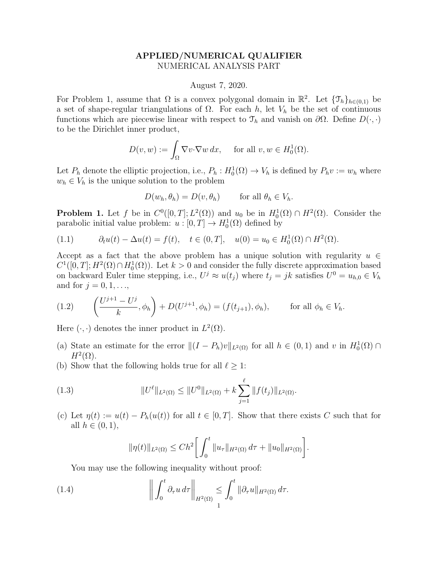## APPLIED/NUMERICAL QUALIFIER NUMERICAL ANALYSIS PART

## August 7, 2020.

For Problem 1, assume that  $\Omega$  is a convex polygonal domain in  $\mathbb{R}^2$ . Let  $\{\mathcal{T}_h\}_{h\in(0,1)}$  be a set of shape-regular triangulations of  $\Omega$ . For each h, let  $V_h$  be the set of continuous functions which are piecewise linear with respect to  $\mathcal{T}_h$  and vanish on  $\partial\Omega$ . Define  $D(\cdot, \cdot)$ to be the Dirichlet inner product,

$$
D(v, w) := \int_{\Omega} \nabla v \cdot \nabla w \, dx, \quad \text{ for all } v, w \in H_0^1(\Omega).
$$

Let  $P_h$  denote the elliptic projection, i.e.,  $P_h: H_0^1(\Omega) \to V_h$  is defined by  $P_h v := w_h$  where  $w_h \in V_h$  is the unique solution to the problem

$$
D(w_h, \theta_h) = D(v, \theta_h) \quad \text{for all } \theta_h \in V_h.
$$

**Problem 1.** Let f be in  $C^0([0,T]; L^2(\Omega))$  and  $u_0$  be in  $H_0^1(\Omega) \cap H^2(\Omega)$ . Consider the parabolic initial value problem:  $u : [0, T] \to H_0^1(\Omega)$  defined by

(1.1) 
$$
\partial_t u(t) - \Delta u(t) = f(t), \quad t \in (0, T], \quad u(0) = u_0 \in H_0^1(\Omega) \cap H^2(\Omega).
$$

Accept as a fact that the above problem has a unique solution with regularity  $u \in$  $C^1([0,T]; H^2(\Omega) \cap H_0^1(\Omega))$ . Let  $k > 0$  and consider the fully discrete approximation based on backward Euler time stepping, i.e.,  $U^j \approx u(t_j)$  where  $t_j = jk$  satisfies  $U^0 = u_{h,0} \in V_h$ and for  $j = 0, 1, \ldots$ ,

(1.2) 
$$
\left(\frac{U^{j+1} - U^j}{k}, \phi_h\right) + D(U^{j+1}, \phi_h) = (f(t_{j+1}), \phi_h), \quad \text{for all } \phi_h \in V_h.
$$

Here  $(\cdot, \cdot)$  denotes the inner product in  $L^2(\Omega)$ .

- (a) State an estimate for the error  $||(I P_h)v||_{L^2(\Omega)}$  for all  $h \in (0, 1)$  and v in  $H_0^1(\Omega) \cap$  $H^2(\Omega)$ .
- (b) Show that the following holds true for all  $\ell \geq 1$ :

(1.3) 
$$
||U^{\ell}||_{L^{2}(\Omega)} \leq ||U^{0}||_{L^{2}(\Omega)} + k \sum_{j=1}^{\ell} ||f(t_{j})||_{L^{2}(\Omega)}.
$$

(c) Let  $\eta(t) := u(t) - P_h(u(t))$  for all  $t \in [0, T]$ . Show that there exists C such that for all  $h \in (0,1)$ ,

$$
\|\eta(t)\|_{L^2(\Omega)} \le Ch^2 \bigg[ \int_0^t \|u_\tau\|_{H^2(\Omega)} d\tau + \|u_0\|_{H^2(\Omega)} \bigg].
$$

You may use the following inequality without proof:

(1.4) 
$$
\left\| \int_0^t \partial_\tau u \, d\tau \right\|_{H^2(\Omega)} \leq \int_0^t \|\partial_\tau u\|_{H^2(\Omega)} \, d\tau.
$$